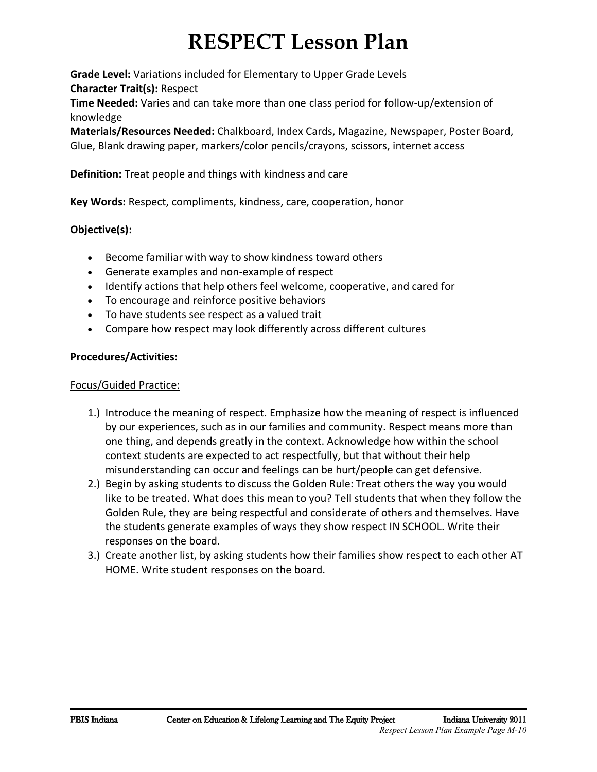# **RESPECT Lesson Plan**

**Grade Level:** Variations included for Elementary to Upper Grade Levels **Character Trait(s):** Respect

**Time Needed:** Varies and can take more than one class period for follow-up/extension of knowledge

**Materials/Resources Needed:** Chalkboard, Index Cards, Magazine, Newspaper, Poster Board, Glue, Blank drawing paper, markers/color pencils/crayons, scissors, internet access

**Definition:** Treat people and things with kindness and care

**Key Words:** Respect, compliments, kindness, care, cooperation, honor

## **Objective(s):**

- Become familiar with way to show kindness toward others
- Generate examples and non-example of respect
- Identify actions that help others feel welcome, cooperative, and cared for
- To encourage and reinforce positive behaviors
- To have students see respect as a valued trait
- Compare how respect may look differently across different cultures

## **Procedures/Activities:**

## Focus/Guided Practice:

- 1.) Introduce the meaning of respect. Emphasize how the meaning of respect is influenced by our experiences, such as in our families and community. Respect means more than one thing, and depends greatly in the context. Acknowledge how within the school context students are expected to act respectfully, but that without their help misunderstanding can occur and feelings can be hurt/people can get defensive.
- 2.) Begin by asking students to discuss the Golden Rule: Treat others the way you would like to be treated. What does this mean to you? Tell students that when they follow the Golden Rule, they are being respectful and considerate of others and themselves. Have the students generate examples of ways they show respect IN SCHOOL. Write their responses on the board.
- 3.) Create another list, by asking students how their families show respect to each other AT HOME. Write student responses on the board.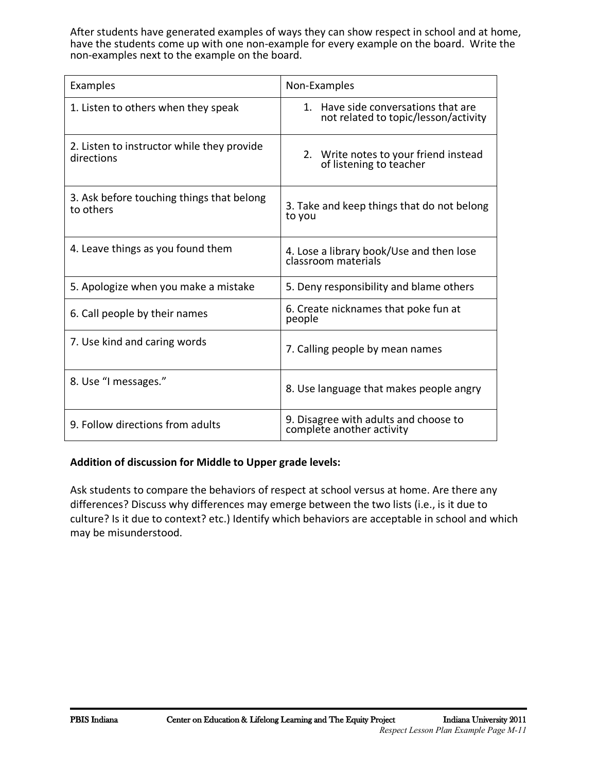After students have generated examples of ways they can show respect in school and at home, have the students come up with one non-example for every example on the board. Write the non-examples next to the example on the board.

| Examples                                                 | Non-Examples                                                                |
|----------------------------------------------------------|-----------------------------------------------------------------------------|
| 1. Listen to others when they speak                      | 1. Have side conversations that are<br>not related to topic/lesson/activity |
| 2. Listen to instructor while they provide<br>directions | 2. Write notes to your friend instead<br>of listening to teacher            |
| 3. Ask before touching things that belong<br>to others   | 3. Take and keep things that do not belong<br>to you                        |
| 4. Leave things as you found them                        | 4. Lose a library book/Use and then lose<br>classroom materials             |
| 5. Apologize when you make a mistake                     | 5. Deny responsibility and blame others                                     |
| 6. Call people by their names                            | 6. Create nicknames that poke fun at<br>people                              |
| 7. Use kind and caring words                             | 7. Calling people by mean names                                             |
| 8. Use "I messages."                                     | 8. Use language that makes people angry                                     |
| 9. Follow directions from adults                         | 9. Disagree with adults and choose to<br>complete another activity          |

### **Addition of discussion for Middle to Upper grade levels:**

Ask students to compare the behaviors of respect at school versus at home. Are there any differences? Discuss why differences may emerge between the two lists (i.e., is it due to culture? Is it due to context? etc.) Identify which behaviors are acceptable in school and which may be misunderstood.

i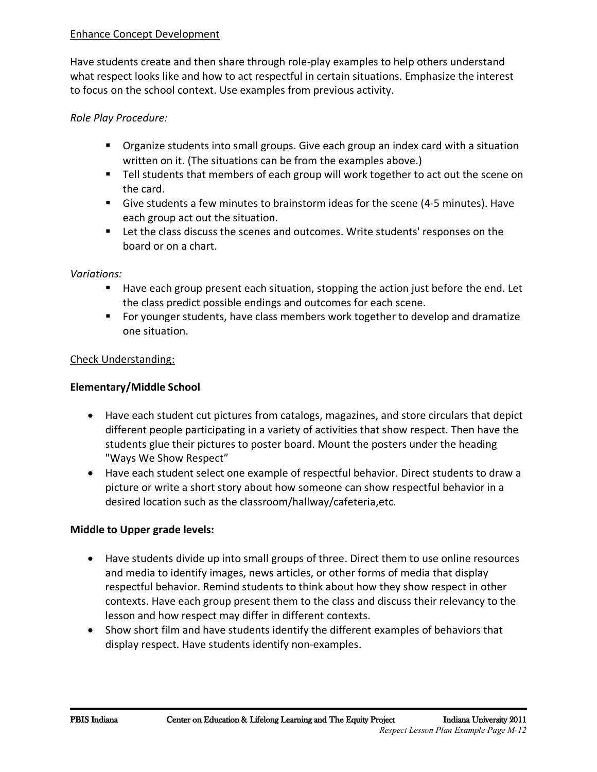## Enhance Concept Development

Have students create and then share through role-play examples to help others understand what respect looks like and how to act respectful in certain situations. Emphasize the interest to focus on the school context. Use examples from previous activity.

## *Role Play Procedure:*

- Organize students into small groups. Give each group an index card with a situation written on it. (The situations can be from the examples above.)
- Tell students that members of each group will work together to act out the scene on the card.
- Give students a few minutes to brainstorm ideas for the scene (4-5 minutes). Have each group act out the situation.
- Let the class discuss the scenes and outcomes. Write students' responses on the board or on a chart.

### *Variations:*

- Have each group present each situation, stopping the action just before the end. Let the class predict possible endings and outcomes for each scene.
- For younger students, have class members work together to develop and dramatize one situation.

### Check Understanding:

### **Elementary/Middle School**

- Have each student cut pictures from catalogs, magazines, and store circulars that depict different people participating in a variety of activities that show respect. Then have the students glue their pictures to poster board. Mount the posters under the heading "Ways We Show Respect"
- Have each student select one example of respectful behavior. Direct students to draw a picture or write a short story about how someone can show respectful behavior in a desired location such as the classroom/hallway/cafeteria,etc.

### **Middle to Upper grade levels:**

- Have students divide up into small groups of three. Direct them to use online resources and media to identify images, news articles, or other forms of media that display respectful behavior. Remind students to think about how they show respect in other contexts. Have each group present them to the class and discuss their relevancy to the lesson and how respect may differ in different contexts.
- Show short film and have students identify the different examples of behaviors that display respect. Have students identify non-examples.